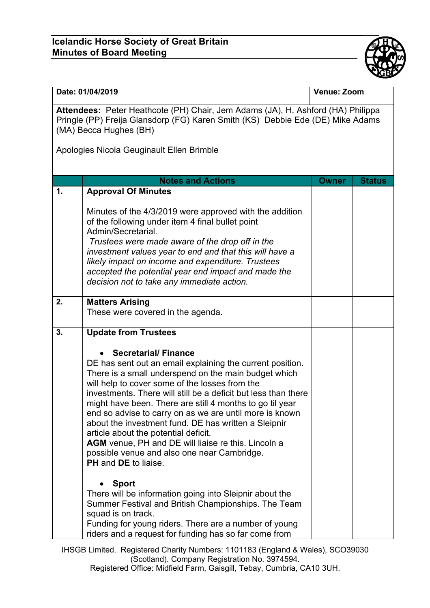## **Icelandic Horse Society of Great Britain Minutes of Board Meeting**



| Date: 01/04/2019                                                                                                                                                                            |                                                                                                                                                                                                                                                                                                                                                                                                                                                                                                                                                                                                                                        | Venue: Zoom  |               |  |  |  |  |
|---------------------------------------------------------------------------------------------------------------------------------------------------------------------------------------------|----------------------------------------------------------------------------------------------------------------------------------------------------------------------------------------------------------------------------------------------------------------------------------------------------------------------------------------------------------------------------------------------------------------------------------------------------------------------------------------------------------------------------------------------------------------------------------------------------------------------------------------|--------------|---------------|--|--|--|--|
| Attendees: Peter Heathcote (PH) Chair, Jem Adams (JA), H. Ashford (HA) Philippa<br>Pringle (PP) Freija Glansdorp (FG) Karen Smith (KS) Debbie Ede (DE) Mike Adams<br>(MA) Becca Hughes (BH) |                                                                                                                                                                                                                                                                                                                                                                                                                                                                                                                                                                                                                                        |              |               |  |  |  |  |
| Apologies Nicola Geuginault Ellen Brimble                                                                                                                                                   |                                                                                                                                                                                                                                                                                                                                                                                                                                                                                                                                                                                                                                        |              |               |  |  |  |  |
|                                                                                                                                                                                             | <b>Notes and Actions</b>                                                                                                                                                                                                                                                                                                                                                                                                                                                                                                                                                                                                               | <b>Owner</b> | <b>Status</b> |  |  |  |  |
| 1.                                                                                                                                                                                          | <b>Approval Of Minutes</b>                                                                                                                                                                                                                                                                                                                                                                                                                                                                                                                                                                                                             |              |               |  |  |  |  |
|                                                                                                                                                                                             | Minutes of the 4/3/2019 were approved with the addition<br>of the following under item 4 final bullet point<br>Admin/Secretarial.<br>Trustees were made aware of the drop off in the<br>investment values year to end and that this will have a<br>likely impact on income and expenditure. Trustees<br>accepted the potential year end impact and made the<br>decision not to take any immediate action.                                                                                                                                                                                                                              |              |               |  |  |  |  |
|                                                                                                                                                                                             |                                                                                                                                                                                                                                                                                                                                                                                                                                                                                                                                                                                                                                        |              |               |  |  |  |  |
| 2.                                                                                                                                                                                          | <b>Matters Arising</b><br>These were covered in the agenda.                                                                                                                                                                                                                                                                                                                                                                                                                                                                                                                                                                            |              |               |  |  |  |  |
| 3.                                                                                                                                                                                          | <b>Update from Trustees</b>                                                                                                                                                                                                                                                                                                                                                                                                                                                                                                                                                                                                            |              |               |  |  |  |  |
|                                                                                                                                                                                             | <b>Secretarial/Finance</b><br>DE has sent out an email explaining the current position.<br>There is a small underspend on the main budget which<br>will help to cover some of the losses from the<br>investments. There will still be a deficit but less than there<br>might have been. There are still 4 months to go til year<br>end so advise to carry on as we are until more is known<br>about the investment fund. DE has written a Sleipnir<br>article about the potential deficit.<br>AGM venue, PH and DE will liaise re this. Lincoln a<br>possible venue and also one near Cambridge.<br><b>PH</b> and <b>DE</b> to liaise. |              |               |  |  |  |  |
|                                                                                                                                                                                             | <b>Sport</b><br>There will be information going into Sleipnir about the<br>Summer Festival and British Championships. The Team<br>squad is on track.<br>Funding for young riders. There are a number of young<br>riders and a request for funding has so far come from                                                                                                                                                                                                                                                                                                                                                                 |              |               |  |  |  |  |

IHSGB Limited. Registered Charity Numbers: 1101183 (England & Wales), SCO39030 (Scotland). Company Registration No. 3974594. Registered Office: Midfield Farm, Gaisgill, Tebay, Cumbria, CA10 3UH.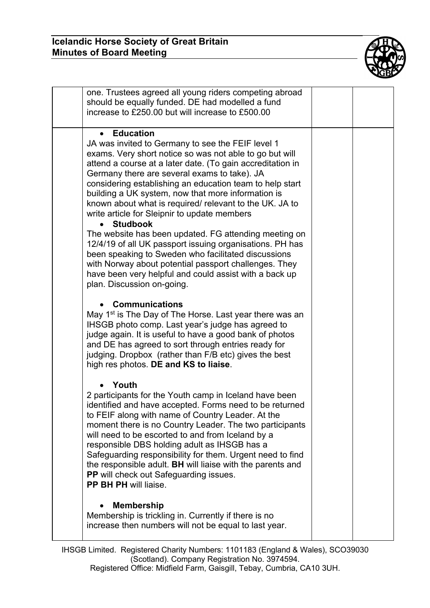

| one. Trustees agreed all young riders competing abroad<br>should be equally funded. DE had modelled a fund<br>increase to £250.00 but will increase to £500.00                                                                                                                                                                                                                                                                                                                                                                                                                                                                                                                                                                                                                                                                           |  |
|------------------------------------------------------------------------------------------------------------------------------------------------------------------------------------------------------------------------------------------------------------------------------------------------------------------------------------------------------------------------------------------------------------------------------------------------------------------------------------------------------------------------------------------------------------------------------------------------------------------------------------------------------------------------------------------------------------------------------------------------------------------------------------------------------------------------------------------|--|
| <b>Education</b><br>$\bullet$<br>JA was invited to Germany to see the FEIF level 1<br>exams. Very short notice so was not able to go but will<br>attend a course at a later date. (To gain accreditation in<br>Germany there are several exams to take). JA<br>considering establishing an education team to help start<br>building a UK system, now that more information is<br>known about what is required/ relevant to the UK. JA to<br>write article for Sleipnir to update members<br><b>Studbook</b><br>The website has been updated. FG attending meeting on<br>12/4/19 of all UK passport issuing organisations. PH has<br>been speaking to Sweden who facilitated discussions<br>with Norway about potential passport challenges. They<br>have been very helpful and could assist with a back up<br>plan. Discussion on-going. |  |
| <b>Communications</b><br>May 1 <sup>st</sup> is The Day of The Horse. Last year there was an<br>IHSGB photo comp. Last year's judge has agreed to<br>judge again. It is useful to have a good bank of photos<br>and DE has agreed to sort through entries ready for<br>judging. Dropbox (rather than F/B etc) gives the best<br>high res photos. DE and KS to liaise.                                                                                                                                                                                                                                                                                                                                                                                                                                                                    |  |
| Youth<br>2 participants for the Youth camp in Iceland have been<br>identified and have accepted. Forms need to be returned<br>to FEIF along with name of Country Leader. At the<br>moment there is no Country Leader. The two participants<br>will need to be escorted to and from Iceland by a<br>responsible DBS holding adult as IHSGB has a<br>Safeguarding responsibility for them. Urgent need to find<br>the responsible adult. BH will liaise with the parents and<br>PP will check out Safeguarding issues.<br>PP BH PH will liaise.                                                                                                                                                                                                                                                                                            |  |
| <b>Membership</b><br>Membership is trickling in. Currently if there is no<br>increase then numbers will not be equal to last year.                                                                                                                                                                                                                                                                                                                                                                                                                                                                                                                                                                                                                                                                                                       |  |

IHSGB Limited. Registered Charity Numbers: 1101183 (England & Wales), SCO39030 (Scotland). Company Registration No. 3974594. Registered Office: Midfield Farm, Gaisgill, Tebay, Cumbria, CA10 3UH.